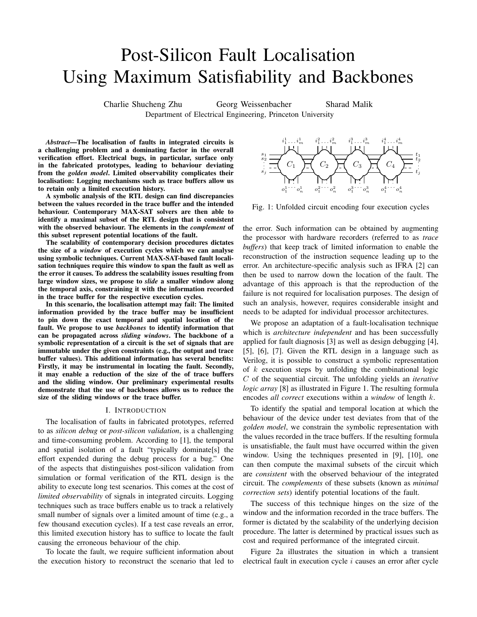# Post-Silicon Fault Localisation Using Maximum Satisfiability and Backbones

Charlie Shucheng Zhu Georg Weissenbacher Sharad Malik Department of Electrical Engineering, Princeton University

*Abstract*—The localisation of faults in integrated circuits is a challenging problem and a dominating factor in the overall verification effort. Electrical bugs, in particular, surface only in the fabricated prototypes, leading to behaviour deviating from the *golden model*. Limited observability complicates their localisation: Logging mechanisms such as trace buffers allow us to retain only a limited execution history.

A symbolic analysis of the RTL design can find discrepancies between the values recorded in the trace buffer and the intended behaviour. Contemporary MAX-SAT solvers are then able to identify a maximal subset of the RTL design that is consistent with the observed behaviour. The elements in the *complement* of this subset represent potential locations of the fault.

The scalability of contemporary decision procedures dictates the size of a *window* of execution cycles which we can analyse using symbolic techniques. Current MAX-SAT-based fault localisation techniques require this window to span the fault as well as the error it causes. To address the scalability issues resulting from large window sizes, we propose to *slide* a smaller window along the temporal axis, constraining it with the information recorded in the trace buffer for the respective execution cycles.

In this scenario, the localisation attempt may fail: The limited information provided by the trace buffer may be insufficient to pin down the exact temporal and spatial location of the fault. We propose to use *backbones* to identify information that can be propagated across *sliding windows*. The backbone of a symbolic representation of a circuit is the set of signals that are immutable under the given constraints (e.g., the output and trace buffer values). This additional information has several benefits: Firstly, it may be instrumental in locating the fault. Secondly, it may enable a reduction of the size of the of trace buffers and the sliding window. Our preliminary experimental results demonstrate that the use of backbones allows us to reduce the size of the sliding windows or the trace buffer.

#### I. INTRODUCTION

The localisation of faults in fabricated prototypes, referred to as *silicon debug* or *post-silicon validation*, is a challenging and time-consuming problem. According to [1], the temporal and spatial isolation of a fault "typically dominate[s] the effort expended during the debug process for a bug." One of the aspects that distinguishes post-silicon validation from simulation or formal verification of the RTL design is the ability to execute long test scenarios. This comes at the cost of *limited observability* of signals in integrated circuits. Logging techniques such as trace buffers enable us to track a relatively small number of signals over a limited amount of time (e.g., a few thousand execution cycles). If a test case reveals an error, this limited execution history has to suffice to locate the fault causing the erroneous behaviour of the chip.

To locate the fault, we require sufficient information about the execution history to reconstruct the scenario that led to



Fig. 1: Unfolded circuit encoding four execution cycles

the error. Such information can be obtained by augmenting the processor with hardware recorders (referred to as *trace buffers*) that keep track of limited information to enable the reconstruction of the instruction sequence leading up to the error. An architecture-specific analysis such as IFRA [2] can then be used to narrow down the location of the fault. The advantage of this approach is that the reproduction of the failure is not required for localisation purposes. The design of such an analysis, however, requires considerable insight and needs to be adapted for individual processor architectures.

We propose an adaptation of a fault-localisation technique which is *architecture independent* and has been successfully applied for fault diagnosis [3] as well as design debugging [4], [5], [6], [7]. Given the RTL design in a language such as Verilog, it is possible to construct a symbolic representation of  $k$  execution steps by unfolding the combinational logic C of the sequential circuit. The unfolding yields an *iterative logic array* [8] as illustrated in Figure 1. The resulting formula encodes *all correct* executions within a *window* of length k.

To identify the spatial and temporal location at which the behaviour of the device under test deviates from that of the *golden model*, we constrain the symbolic representation with the values recorded in the trace buffers. If the resulting formula is unsatisfiable, the fault must have occurred within the given window. Using the techniques presented in [9], [10], one can then compute the maximal subsets of the circuit which are *consistent* with the observed behaviour of the integrated circuit. The *complements* of these subsets (known as *minimal correction sets*) identify potential locations of the fault.

The success of this technique hinges on the size of the window and the information recorded in the trace buffers. The former is dictated by the scalability of the underlying decision procedure. The latter is determined by practical issues such as cost and required performance of the integrated circuit.

Figure 2a illustrates the situation in which a transient electrical fault in execution cycle  $i$  causes an error after cycle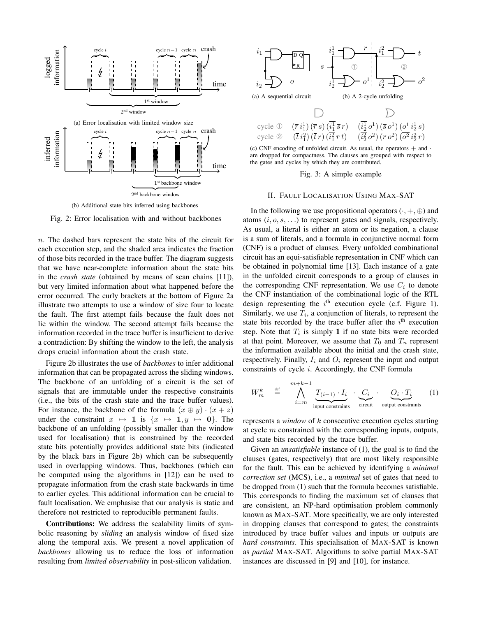

(b) Additional state bits inferred using backbones

Fig. 2: Error localisation with and without backbones

n. The dashed bars represent the state bits of the circuit for each execution step, and the shaded area indicates the fraction of those bits recorded in the trace buffer. The diagram suggests that we have near-complete information about the state bits in the *crash state* (obtained by means of scan chains [11]), but very limited information about what happened before the error occurred. The curly brackets at the bottom of Figure 2a illustrate two attempts to use a window of size four to locate the fault. The first attempt fails because the fault does not lie within the window. The second attempt fails because the information recorded in the trace buffer is insufficient to derive a contradiction: By shifting the window to the left, the analysis drops crucial information about the crash state.

Figure 2b illustrates the use of *backbones* to infer additional information that can be propagated across the sliding windows. The backbone of an unfolding of a circuit is the set of signals that are immutable under the respective constraints (i.e., the bits of the crash state and the trace buffer values). For instance, the backbone of the formula  $(x \oplus y) \cdot (x + z)$ under the constraint  $x \mapsto 1$  is  $\{x \mapsto 1, y \mapsto 0\}$ . The backbone of an unfolding (possibly smaller than the window used for localisation) that is constrained by the recorded state bits potentially provides additional state bits (indicated by the black bars in Figure 2b) which can be subsequently used in overlapping windows. Thus, backbones (which can be computed using the algorithms in [12]) can be used to propagate information from the crash state backwards in time to earlier cycles. This additional information can be crucial to fault localisation. We emphasise that our analysis is static and therefore not restricted to reproducible permanent faults.

Contributions: We address the scalability limits of symbolic reasoning by *sliding* an analysis window of fixed size along the temporal axis. We present a novel application of *backbones* allowing us to reduce the loss of information resulting from *limited observability* in post-silicon validation.



(c) CNF encoding of unfolded circuit. As usual, the operators  $+$  and  $\cdot$ are dropped for compactness. The clauses are grouped with respect to the gates and cycles by which they are contributed.

### Fig. 3: A simple example

## II. FAULT LOCALISATION USING MAX-SAT

In the following we use propositional operators  $(\cdot, +, \oplus)$  and atoms  $(i, o, s, \ldots)$  to represent gates and signals, respectively. As usual, a literal is either an atom or its negation, a clause is a sum of literals, and a formula in conjunctive normal form (CNF) is a product of clauses. Every unfolded combinational circuit has an equi-satisfiable representation in CNF which can be obtained in polynomial time [13]. Each instance of a gate in the unfolded circuit corresponds to a group of clauses in the corresponding CNF representation. We use  $C_i$  to denote the CNF instantiation of the combinational logic of the RTL design representing the  $i<sup>th</sup>$  execution cycle (c.f. Figure 1). Similarly, we use  $T_i$ , a conjunction of literals, to represent the state bits recorded by the trace buffer after the  $i<sup>th</sup>$  execution step. Note that  $T_i$  is simply 1 if no state bits were recorded at that point. Moreover, we assume that  $T_0$  and  $T_n$  represent the information available about the initial and the crash state, respectively. Finally,  $I_i$  and  $O_i$  represent the input and output constraints of cycle i. Accordingly, the CNF formula

$$
W_m^k \stackrel{\text{def}}{=} \bigwedge_{i=m}^{m+k-1} \underbrace{T_{(i-1)} \cdot I_i}_{\text{input constraints}} \cdot \underbrace{C_i}_{\text{circuit}} \cdot \underbrace{O_i \cdot T_i}_{\text{output constraints}} \quad (1)
$$

represents a *window* of k consecutive execution cycles starting at cycle m constrained with the corresponding inputs, outputs, and state bits recorded by the trace buffer.

Given an *unsatisfiable* instance of (1), the goal is to find the clauses (gates, respectively) that are most likely responsible for the fault. This can be achieved by identifying a *minimal correction set* (MCS), i.e., a *minimal* set of gates that need to be dropped from (1) such that the formula becomes satisfiable. This corresponds to finding the maximum set of clauses that are consistent, an NP-hard optimisation problem commonly known as MAX-SAT. More specifically, we are only interested in dropping clauses that correspond to gates; the constraints introduced by trace buffer values and inputs or outputs are *hard constraints*. This specialisation of MAX-SAT is known as *partial* MAX-SAT. Algorithms to solve partial MAX-SAT instances are discussed in [9] and [10], for instance.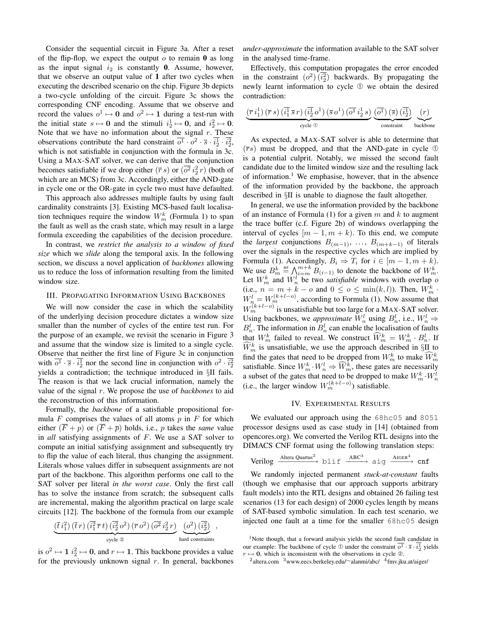Consider the sequential circuit in Figure 3a. After a reset of the flip-flop, we expect the output  $o$  to remain 0 as long as the input signal  $i_2$  is constantly 0. Assume, however, that we observe an output value of 1 after two cycles when executing the described scenario on the chip. Figure 3b depicts a two-cycle unfolding of the circuit. Figure 3c shows the corresponding CNF encoding. Assume that we observe and record the values  $o^1 \mapsto 0$  and  $o^2 \mapsto 1$  during a test-run with the initial state  $s \mapsto 0$  and the stimuli  $i_2^1 \mapsto 0$ , and  $i_2^2 \mapsto 0$ . Note that we have no information about the signal  $r$ . These observations contribute the hard constraint  $\overline{o^1} \cdot o^2 \cdot \overline{s} \cdot \overline{i_2^1} \cdot \overline{i_2^2}$ , which is not satisfiable in conjunction with the formula in 3c. Using a MAX-SAT solver, we can derive that the conjunction becomes satisfiable if we drop either  $(\overline{r} s)$  or  $(\overline{o^2} i_2^2 r)$  (both of which are an MCS) from 3c. Accordingly, either the AND-gate in cycle one or the OR-gate in cycle two must have defaulted.

This approach also addresses multiple faults by using fault cardinality constraints [3]. Existing MCS-based fault localisation techniques require the window  $W_m^k$  (Formula 1) to span the fault as well as the crash state, which may result in a large formula exceeding the capabilities of the decision procedure.

In contrast, we *restrict the analysis to a window of fixed size* which we *slide* along the temporal axis. In the following section, we discuss a novel application of *backbones* allowing us to reduce the loss of information resulting from the limited window size.

#### III. PROPAGATING INFORMATION USING BACKBONES

We will now consider the case in which the scalability of the underlying decision procedure dictates a window size smaller than the number of cycles of the entire test run. For the purpose of an example, we revisit the scenario in Figure 3 and assume that the window size is limited to a single cycle. Observe that neither the first line of Figure 3c in conjunction with  $\overline{o^1} \cdot \overline{s} \cdot i_2^1$  nor the second line in conjunction with  $o^2 \cdot i_2^2$ yields a contradiction; the technique introduced in §II fails. The reason is that we lack crucial information, namely the value of the signal r. We propose the use of *backbones* to aid the reconstruction of this information.

Formally, the *backbone* of a satisfiable propositional formula  $F$  comprises the values of all atoms  $p$  in  $F$  for which either  $(\overline{F} + p)$  or  $(\overline{F} + \overline{p})$  holds, i.e., p takes the *same* value in *all* satisfying assignments of F. We use a SAT solver to compute an initial satisfying assignment and subsequently try to flip the value of each literal, thus changing the assignment. Literals whose values differ in subsequent assignments are not part of the backbone. This algorithm performs one call to the SAT solver per literal *in the worst case*. Only the first call has to solve the instance from scratch; the subsequent calls are incremental, making the algorithm practical on large scale circuits [12]. The backbone of the formula from our example

$$
\frac{(\overline{t}\,i_1^2)\,(\overline{t}\,r)\,(\overline{i_1^2}\,\overline{r}\,t)\,(\overline{i_2^2}\,o^2)\,(\overline{r}\,o^2)\,(\overline{o^2}\,i_2^2\,r)}{\text{cycle}\,\otimes}\,\bigg(\frac{(o^2)\,(\overline{i_2^2})}{\text{hard constraints}}\bigg)\;,
$$

is  $o^2 \mapsto 1$   $i_2^2 \mapsto 0$ , and  $r \mapsto 1$ . This backbone provides a value for the previously unknown signal  $r$ . In general, backbones *under-approximate* the information available to the SAT solver in the analysed time-frame.

Effectively, this computation propagates the error encoded in the constraint  $(o^2)(\overline{i_2^2})$  backwards. By propagating the newly learnt information to cycle ➀ we obtain the desired contradiction:

$$
\frac{\left(\overline{r} \;i_1^1\right)\left(\overline{r} \;s\right)\left(\overline{i_1^1} \;\overline{s} \;r\right)\left(\overline{i_2^1} \;o^1\right)\left(\overline{s} \;o^1\right)\left(\overline{o^1} \;i_2^1 \;s\right)}{\text{cycle } \circledcirc} \underbrace{\left(\overline{o^1}\right)\left(\overline{s}\right)\left(\overline{i_2^1}\right)}_{\text{constraint}} \underbrace{\left(r\right)}_{\text{backbone}}
$$

As expected, a MAX-SAT solver is able to determine that  $(\overline{r}s)$  must be dropped, and that the AND-gate in cycle ① is a potential culprit. Notably, we missed the second fault candidate due to the limited window size and the resulting lack of information.<sup>1</sup> We emphasise, however, that in the absence of the information provided by the backbone, the approach described in §II is unable to diagnose the fault altogether.

In general, we use the information provided by the backbone of an instance of Formula (1) for a given  $m$  and  $k$  to augment the trace buffer (c.f. Figure 2b) of windows overlapping the interval of cycles  $[m - 1, m + k]$ . To this end, we compute the *largest* conjunctions  $B_{(m-1)}$ , ...,  $B_{(m+k-1)}$  of literals over the signals in the respective cycles which are implied by Formula (1). Accordingly,  $B_i \Rightarrow T_i$  for  $i \in [m-1, m+k)$ . We use  $B_m^k \stackrel{\text{def}}{=} \bigwedge_{i=m}^{m+k} B_{(i-1)}$  to denote the backbone of  $W_m^k$ . Let  $W_m^k$  and  $W_n^l$  be two *satisfiable* windows with overlap o (i.e.,  $n = m + k - o$  and  $0 \le o \le \min(k, l)$ ). Then,  $W_m^k$ .  $W_n^l = W_m^{(k+l-o)}$ , according to Formula (1). Now assume that  $W_m^{(k+l-o)}$  is unsatisfiable but too large for a MAX-SAT solver. Using backbones, we *approximate*  $W_n^l$  using  $B_n^l$ , i.e.,  $W_n^l \Rightarrow$  $B_n^l$ . The information in  $B_n^l$  can enable the localisation of faults that  $W_m^k$  failed to reveal. We construct  $\widehat{W}_m^k = W_m^k \cdot B_n^l$ . If  $\widehat{W}_m^k$  is unsatisfiable, we use the approach described in §II to find the gates that need to be dropped from  $W_m^k$  to make  $\widehat{W}_m^k$ satisfiable. Since  $W_m^k$ ,  $W_n^l \Rightarrow \widehat{W}_m^k$ , these gates are necessarily a subset of the gates that need to be dropped to make  $W_m^k \cdot W_n^l$ (i.e., the larger window  $W_m^{(k+l-o)}$ ) satisfiable.

## IV. EXPERIMENTAL RESULTS

We evaluated our approach using the 68hc05 and 8051 processor designs used as case study in [14] (obtained from opencores.org). We converted the Verilog RTL designs into the DIMACS CNF format using the following translation steps:

$$
\text{Verilog } \xrightarrow{\text{Altera Quartus}^2} \text{blif } \xrightarrow{\text{ABC}^3} \text{aig } \xrightarrow{\text{AIGER}^4} \text{cnf}
$$

We randomly injected permanent *stuck-at-constant* faults (though we emphasise that our approach supports arbitrary fault models) into the RTL designs and obtained 26 failing test scenarios (13 for each design) of 2000 cycles length by means of SAT-based symbolic simulation. In each test scenario, we injected one fault at a time for the smaller 68hc05 design

<sup>&</sup>lt;sup>1</sup>Note though, that a forward analysis yields the second fault candidate in our example: The backbone of cycle ① under the constraint  $\overline{o^1} \cdot \overline{s} \cdot \overline{i_2^1}$  yields  $r \mapsto 0$ , which is inconsistent with the observations in cycle ②.

<sup>&</sup>lt;sup>2</sup>altera.com <sup>3</sup>www.eecs.berkeley.edu/~alanmi/abc/ <sup>4</sup>fmv.jku.at/aiger/